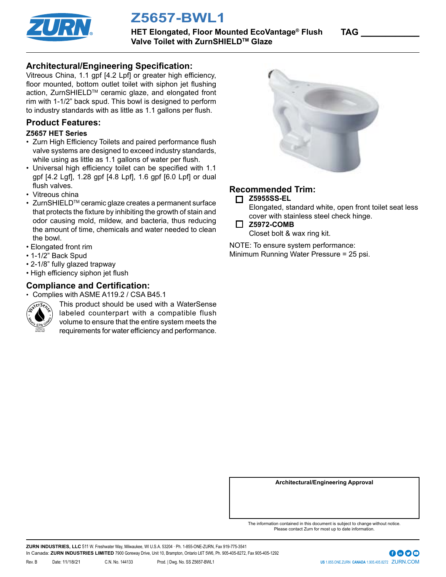

**Z5657-BWL1**

**HET Elongated, Floor Mounted EcoVantage<sup>®</sup> Flush TAG** Valve Toilet with ZurnSHIELD<sup>™</sup> Glaze

### **Architectural/Engineering Specification:**

Vitreous China, 1.1 gpf [4.2 Lpf] or greater high efficiency, floor mounted, bottom outlet toilet with siphon jet flushing action, ZurnSHIELD™ ceramic glaze, and elongated front rim with 1-1/2" back spud. This bowl is designed to perform to industry standards with as little as 1.1 gallons per flush.

#### **Product Features:**

#### **Z5657 HET Series**

- Zurn High Efficiency Toilets and paired performance flush valve systems are designed to exceed industry standards, while using as little as 1.1 gallons of water per flush.
- Universal high efficiency toilet can be specified with 1.1 gpf [4.2 Lgf], 1.28 gpf [4.8 Lpf], 1.6 gpf [6.0 Lpf] or dual flush valves.
- Vitreous china
- ZurnSHIELDTM ceramic glaze creates a permanent surface that protects the fixture by inhibiting the growth of stain and odor causing mold, mildew, and bacteria, thus reducing the amount of time, chemicals and water needed to clean the bowl.
- Elongated front rim
- 1-1/2" Back Spud
- 2-1/8" fully glazed trapway
- High efficiency siphon jet flush

# **Compliance and Certification:**

• Complies with ASME A119.2 / CSA B45.1



This product should be used with a WaterSense labeled counterpart with a compatible flush volume to ensure that the entire system meets the requirements for water efficiency and performance.



## **Recommended Trim:**

**Z5955SS-EL**

Elongated, standard white, open front toilet seat less cover with stainless steel check hinge.

**Z5972-COMB**

Closet bolt & wax ring kit.

NOTE: To ensure system performance: Minimum Running Water Pressure = 25 psi.

**Architectural/Engineering Approval**

The information contained in this document is subject to change without notice. Please contact Zurn for most up to date information.